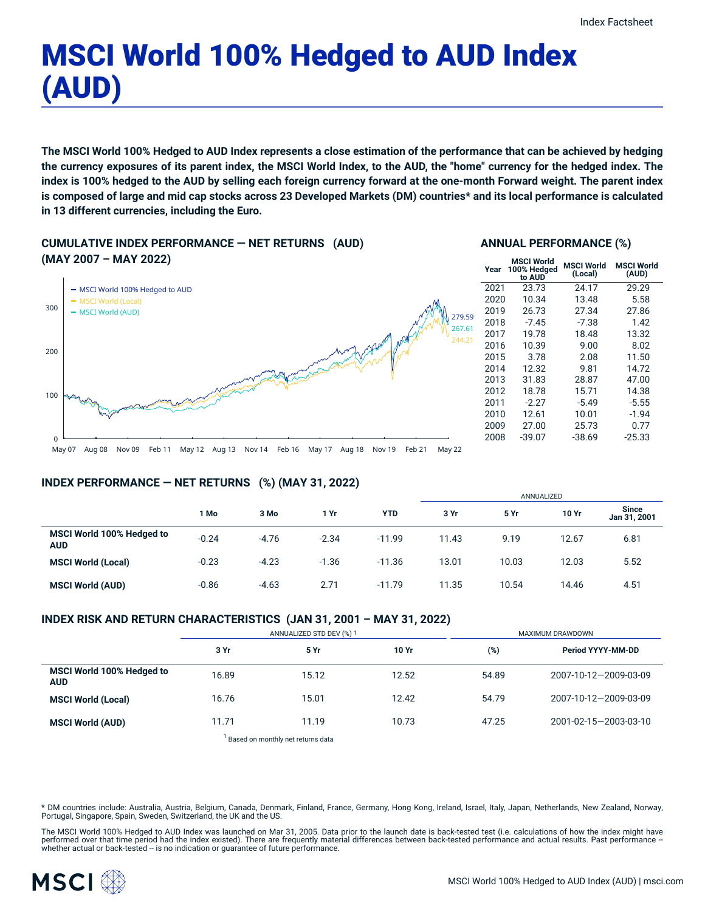# MSCI World 100% Hedged to AUD Index (AUD)

The MSCI World 100% Hedged to AUD Index represents a close estimation of the performance that can be achieved by hedging the currency exposures of its parent index, the MSCI World Index, to the AUD, the "home" currency for the hedged index. The index is 100% hedged to the AUD by selling each foreign currency forward at the one-month Forward weight. The parent index is composed of large and mid cap stocks across 23 Developed Markets (DM) countries\* and its local performance is calculated **in 13 different currencies, including the Euro.**

**CUMULATIVE INDEX PERFORMANCE — NET RETURNS (AUD) (MAY 2007 – MAY 2022)**





| Year | <b>MSCI World</b><br>100% Hedged<br>to AUD | <b>MSCI World</b><br>(Local) | <b>MSCI World</b><br>(AUD) |
|------|--------------------------------------------|------------------------------|----------------------------|
| 2021 | 23.73                                      | 24.17                        | 29.29                      |
| 2020 | 10.34                                      | 13.48                        | 5.58                       |
| 2019 | 26.73                                      | 27.34                        | 27.86                      |
| 2018 | $-7.45$                                    | -7.38                        | 1.42                       |
| 2017 | 19.78                                      | 18.48                        | 13.32                      |
| 2016 | 10.39                                      | 9.00                         | 8.02                       |
| 2015 | 3.78                                       | 2.08                         | 11.50                      |
| 2014 | 12.32                                      | 9.81                         | 14.72                      |
| 2013 | 31.83                                      | 28.87                        | 47.00                      |
| 2012 | 18.78                                      | 15.71                        | 14.38                      |
| 2011 | $-2.27$                                    | $-5.49$                      | $-5.55$                    |
| 2010 | 12.61                                      | 10.01                        | $-1.94$                    |
| 2009 | 27.00                                      | 25.73                        | 0.77                       |
| 2008 | $-39.07$                                   | -38.69                       | $-25.33$                   |
|      |                                            |                              |                            |

## **INDEX PERFORMANCE — NET RETURNS (%) (MAY 31, 2022)**

|                                         |         |         |         |            | ANNUALIZED |       |       |                              |
|-----------------------------------------|---------|---------|---------|------------|------------|-------|-------|------------------------------|
|                                         | 1 Mo    | 3 Mo    | 1 Yr    | <b>YTD</b> | 3 Yr       | 5 Yr  | 10 Yr | <b>Since</b><br>Jan 31, 2001 |
| MSCI World 100% Hedged to<br><b>AUD</b> | $-0.24$ | $-4.76$ | $-2.34$ | $-11.99$   | 11.43      | 9.19  | 12.67 | 6.81                         |
| <b>MSCI World (Local)</b>               | $-0.23$ | $-4.23$ | $-1.36$ | $-11.36$   | 13.01      | 10.03 | 12.03 | 5.52                         |
| <b>MSCI World (AUD)</b>                 | $-0.86$ | $-4.63$ | 2.71    | $-11.79$   | 11.35      | 10.54 | 14.46 | 4.51                         |

## **INDEX RISK AND RETURN CHARACTERISTICS (JAN 31, 2001 – MAY 31, 2022)**

|                                         | ANNUALIZED STD DEV (%) 1 |       |       | MAXIMUM DRAWDOWN |                       |  |
|-----------------------------------------|--------------------------|-------|-------|------------------|-----------------------|--|
|                                         | 3 Yr                     | 5 Yr  | 10 Yr | (%)              | Period YYYY-MM-DD     |  |
| MSCI World 100% Hedged to<br><b>AUD</b> | 16.89                    | 15.12 | 12.52 | 54.89            | 2007-10-12-2009-03-09 |  |
| <b>MSCI World (Local)</b>               | 16.76                    | 15.01 | 12.42 | 54.79            | 2007-10-12-2009-03-09 |  |
| <b>MSCI World (AUD)</b>                 | 11.71                    | 11.19 | 10.73 | 47.25            | 2001-02-15-2003-03-10 |  |

 $^{1}$  Based on monthly net returns data

\* DM countries include: Australia, Austria, Belgium, Canada, Denmark, Finland, France, Germany, Hong Kong, Ireland, Israel, Italy, Japan, Netherlands, New Zealand, Norway,<br>Portugal, Singapore, Spain, Sweden, Switzerland, t

The MSCI World 100% Hedged to AUD Index was launched on Mar 31, 2005. Data prior to the launch date is back-tested test (i.e. calculations of how the index might have performed over that time period had the index existed). There are frequently material differences between back-tested performance and actual results. Past performance –<br>whether actual or back-tested – is no indication or g